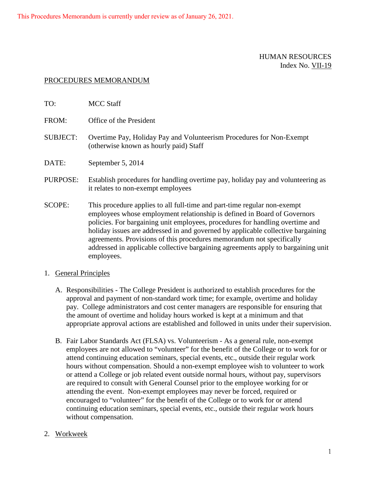This Procedures Memorandum is currently under review as of January 26, 2021.

## HUMAN RESOURCES Index No. VII-19

## PROCEDURES MEMORANDUM

| TO:             | <b>MCC Staff</b>                                                                                                                                                                                                                                                                                                                                                                                   |
|-----------------|----------------------------------------------------------------------------------------------------------------------------------------------------------------------------------------------------------------------------------------------------------------------------------------------------------------------------------------------------------------------------------------------------|
| FROM:           | Office of the President                                                                                                                                                                                                                                                                                                                                                                            |
| <b>SUBJECT:</b> | Overtime Pay, Holiday Pay and Volunteerism Procedures for Non-Exempt<br>(otherwise known as hourly paid) Staff                                                                                                                                                                                                                                                                                     |
| DATE:           | September 5, 2014                                                                                                                                                                                                                                                                                                                                                                                  |
| PURPOSE:        | Establish procedures for handling overtime pay, holiday pay and volunteering as<br>it relates to non-exempt employees                                                                                                                                                                                                                                                                              |
| <b>SCOPE:</b>   | This procedure applies to all full-time and part-time regular non-exempt<br>employees whose employment relationship is defined in Board of Governors<br>policies. For bargaining unit employees, procedures for handling overtime and<br>holiday issues are addressed in and governed by applicable collective bargaining<br>agreements. Provisions of this procedures memorandum not specifically |

## 1. General Principles

employees.

A. Responsibilities - The College President is authorized to establish procedures for the approval and payment of non-standard work time; for example, overtime and holiday pay. College administrators and cost center managers are responsible for ensuring that the amount of overtime and holiday hours worked is kept at a minimum and that appropriate approval actions are established and followed in units under their supervision.

addressed in applicable collective bargaining agreements apply to bargaining unit

- B. Fair Labor Standards Act (FLSA) vs. Volunteerism As a general rule, non-exempt employees are not allowed to "volunteer" for the benefit of the College or to work for or attend continuing education seminars, special events, etc., outside their regular work hours without compensation. Should a non-exempt employee wish to volunteer to work or attend a College or job related event outside normal hours, without pay, supervisors are required to consult with General Counsel prior to the employee working for or attending the event. Non-exempt employees may never be forced, required or encouraged to "volunteer" for the benefit of the College or to work for or attend continuing education seminars, special events, etc., outside their regular work hours without compensation.
- 2. Workweek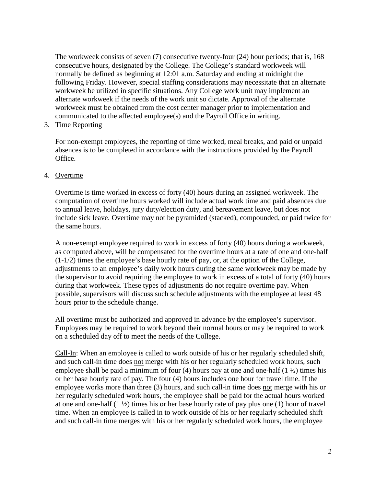The workweek consists of seven (7) consecutive twenty-four (24) hour periods; that is, 168 consecutive hours, designated by the College. The College's standard workweek will normally be defined as beginning at 12:01 a.m. Saturday and ending at midnight the following Friday. However, special staffing considerations may necessitate that an alternate workweek be utilized in specific situations. Any College work unit may implement an alternate workweek if the needs of the work unit so dictate. Approval of the alternate workweek must be obtained from the cost center manager prior to implementation and communicated to the affected employee(s) and the Payroll Office in writing.

3. Time Reporting

For non-exempt employees, the reporting of time worked, meal breaks, and paid or unpaid absences is to be completed in accordance with the instructions provided by the Payroll Office.

## 4. Overtime

Overtime is time worked in excess of forty (40) hours during an assigned workweek. The computation of overtime hours worked will include actual work time and paid absences due to annual leave, holidays, jury duty/election duty, and bereavement leave, but does not include sick leave. Overtime may not be pyramided (stacked), compounded, or paid twice for the same hours.

A non-exempt employee required to work in excess of forty (40) hours during a workweek, as computed above, will be compensated for the overtime hours at a rate of one and one-half (1-1/2) times the employee's base hourly rate of pay, or, at the option of the College, adjustments to an employee's daily work hours during the same workweek may be made by the supervisor to avoid requiring the employee to work in excess of a total of forty (40) hours during that workweek. These types of adjustments do not require overtime pay. When possible, supervisors will discuss such schedule adjustments with the employee at least 48 hours prior to the schedule change.

All overtime must be authorized and approved in advance by the employee's supervisor. Employees may be required to work beyond their normal hours or may be required to work on a scheduled day off to meet the needs of the College.

Call-In: When an employee is called to work outside of his or her regularly scheduled shift, and such call-in time does not merge with his or her regularly scheduled work hours, such employee shall be paid a minimum of four  $(4)$  hours pay at one and one-half  $(1 \frac{1}{2})$  times his or her base hourly rate of pay. The four (4) hours includes one hour for travel time. If the employee works more than three (3) hours, and such call-in time does not merge with his or her regularly scheduled work hours, the employee shall be paid for the actual hours worked at one and one-half (1 ½) times his or her base hourly rate of pay plus one (1) hour of travel time. When an employee is called in to work outside of his or her regularly scheduled shift and such call-in time merges with his or her regularly scheduled work hours, the employee